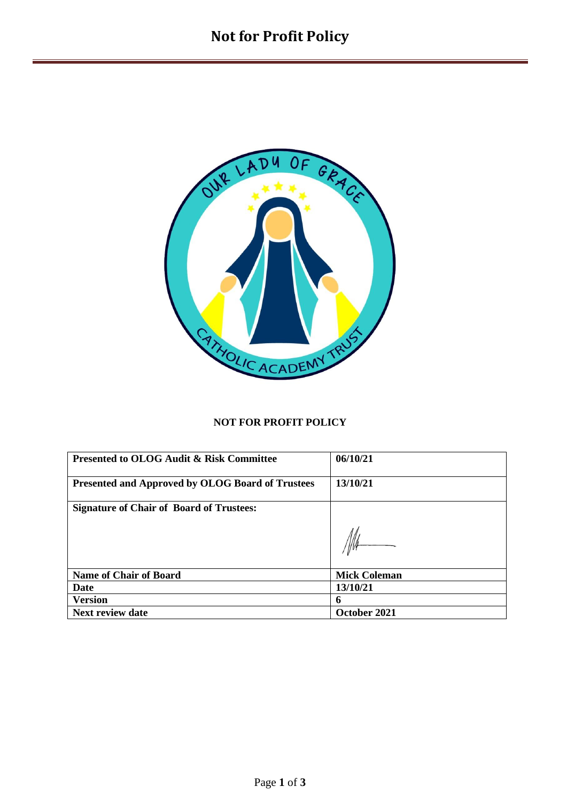

## **NOT FOR PROFIT POLICY**

| <b>Presented to OLOG Audit &amp; Risk Committee</b> | 06/10/21            |
|-----------------------------------------------------|---------------------|
| Presented and Approved by OLOG Board of Trustees    | 13/10/21            |
| <b>Signature of Chair of Board of Trustees:</b>     |                     |
|                                                     |                     |
| <b>Name of Chair of Board</b>                       | <b>Mick Coleman</b> |
| <b>Date</b>                                         | 13/10/21            |
| <b>Version</b>                                      | 6                   |
| <b>Next review date</b>                             | October 2021        |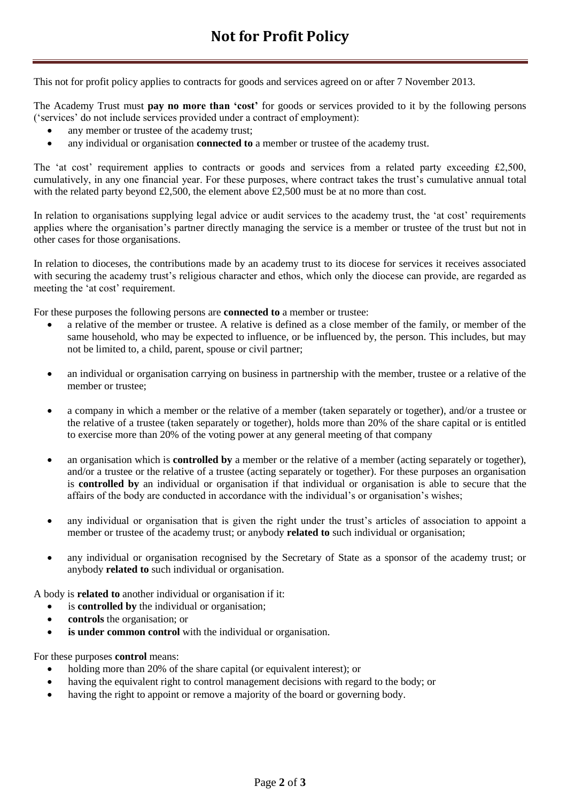This not for profit policy applies to contracts for goods and services agreed on or after 7 November 2013.

The Academy Trust must **pay no more than 'cost'** for goods or services provided to it by the following persons ('services' do not include services provided under a contract of employment):

- any member or trustee of the academy trust;
- any individual or organisation **connected to** a member or trustee of the academy trust.

The 'at cost' requirement applies to contracts or goods and services from a related party exceeding £2,500, cumulatively, in any one financial year. For these purposes, where contract takes the trust's cumulative annual total with the related party beyond £2,500, the element above £2,500 must be at no more than cost.

In relation to organisations supplying legal advice or audit services to the academy trust, the 'at cost' requirements applies where the organisation's partner directly managing the service is a member or trustee of the trust but not in other cases for those organisations.

In relation to dioceses, the contributions made by an academy trust to its diocese for services it receives associated with securing the academy trust's religious character and ethos, which only the diocese can provide, are regarded as meeting the 'at cost' requirement.

For these purposes the following persons are **connected to** a member or trustee:

- a relative of the member or trustee. A relative is defined as a close member of the family, or member of the same household, who may be expected to influence, or be influenced by, the person. This includes, but may not be limited to, a child, parent, spouse or civil partner;
- an individual or organisation carrying on business in partnership with the member, trustee or a relative of the member or trustee;
- a company in which a member or the relative of a member (taken separately or together), and/or a trustee or the relative of a trustee (taken separately or together), holds more than 20% of the share capital or is entitled to exercise more than 20% of the voting power at any general meeting of that company
- an organisation which is **controlled by** a member or the relative of a member (acting separately or together), and/or a trustee or the relative of a trustee (acting separately or together). For these purposes an organisation is **controlled by** an individual or organisation if that individual or organisation is able to secure that the affairs of the body are conducted in accordance with the individual's or organisation's wishes;
- any individual or organisation that is given the right under the trust's articles of association to appoint a member or trustee of the academy trust; or anybody **related to** such individual or organisation;
- any individual or organisation recognised by the Secretary of State as a sponsor of the academy trust; or anybody **related to** such individual or organisation.

A body is **related to** another individual or organisation if it:

- is **controlled by** the individual or organisation;
- **controls** the organisation; or
- **is under common control** with the individual or organisation.

For these purposes **control** means:

- holding more than 20% of the share capital (or equivalent interest); or
- having the equivalent right to control management decisions with regard to the body; or
- having the right to appoint or remove a majority of the board or governing body.